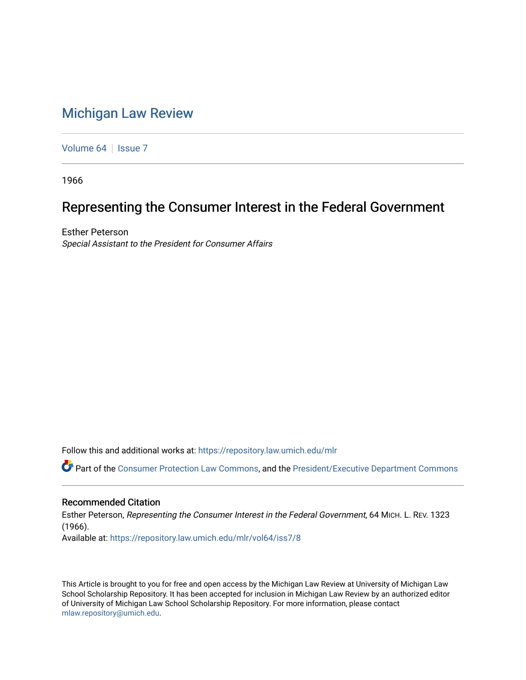## [Michigan Law Review](https://repository.law.umich.edu/mlr)

[Volume 64](https://repository.law.umich.edu/mlr/vol64) | [Issue 7](https://repository.law.umich.edu/mlr/vol64/iss7)

1966

# Representing the Consumer Interest in the Federal Government

Esther Peterson Special Assistant to the President for Consumer Affairs

Follow this and additional works at: [https://repository.law.umich.edu/mlr](https://repository.law.umich.edu/mlr?utm_source=repository.law.umich.edu%2Fmlr%2Fvol64%2Fiss7%2F8&utm_medium=PDF&utm_campaign=PDFCoverPages) 

Part of the [Consumer Protection Law Commons,](http://network.bepress.com/hgg/discipline/838?utm_source=repository.law.umich.edu%2Fmlr%2Fvol64%2Fiss7%2F8&utm_medium=PDF&utm_campaign=PDFCoverPages) and the [President/Executive Department Commons](http://network.bepress.com/hgg/discipline/1118?utm_source=repository.law.umich.edu%2Fmlr%2Fvol64%2Fiss7%2F8&utm_medium=PDF&utm_campaign=PDFCoverPages)

#### Recommended Citation

Esther Peterson, Representing the Consumer Interest in the Federal Government, 64 MICH. L. REV. 1323 (1966). Available at: [https://repository.law.umich.edu/mlr/vol64/iss7/8](https://repository.law.umich.edu/mlr/vol64/iss7/8?utm_source=repository.law.umich.edu%2Fmlr%2Fvol64%2Fiss7%2F8&utm_medium=PDF&utm_campaign=PDFCoverPages)

This Article is brought to you for free and open access by the Michigan Law Review at University of Michigan Law School Scholarship Repository. It has been accepted for inclusion in Michigan Law Review by an authorized editor of University of Michigan Law School Scholarship Repository. For more information, please contact [mlaw.repository@umich.edu.](mailto:mlaw.repository@umich.edu)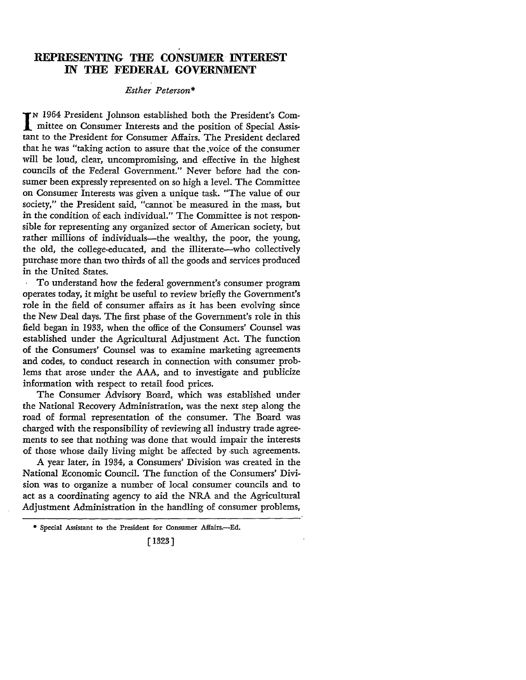### **REPRESENTING THE CONSUMER· INTEREST**  IN **THE FEDERAL GOVERNMENT**

#### *Esther Peterson\**

I<sup>N</sup> 1964 President Johnson established both the President's Committee on Consumer Interests and the position of Special Assistant to the President for Consumer Affairs. The President declared N 1964 President Johnson established both the President's Comtant to the President for Consumer Affairs. The President declared that he was "taking action to assure that the .voice of the consumer will be loud, clear, uncompromising, and effective in the highest councils of the Federal Government." Never before had the consumer been expressly represented on so high a level. The Committee on Consumer Interests was given a unique task. "The value of our society," the President said, "cannot' be measured in the mass, but in the condition of each individual." The Committee is not responsible for representing any organized sector of American society, but rather millions of individuals-the wealthy, the poor, the young, the old, the college-educated, and the illiterate-who collectively purchase more than two thirds of all the goods and services produced in the United States.

To understand how the federal government's consumer program operates today, it might be useful to review briefly the Government's role in the field of consumer affairs as it has been evolving since the New Deal days. The first phase of the Government's role in this field began in 1933, when the office of the Consumers' Counsel was established under the Agricultural Adjustment Act. The function of the Consumers' Counsel was to examine marketing agreements and codes, to conduct research in connection with consumer problems that arose under the AAA, and to investigate and publicize information with respect to retail food prices.

The Consumer Advisory Board, which was established under the National Recovery Administration, was the next step along the road of formal representation of the consumer. The Board was charged with the responsibility of reviewing all industry trade agreements to see that nothing was done that would impair the interests of those whose daily living might be affected by -such agreements.

A year later, in 1934, a Consumers' Division was created in the National Economic Council. The function of the Consumers' Division was to organize a number of local consumer councils and to act as a coordinating agency to aid the NRA and the Agricultural Adjustment Administration in the handling of consumer problems,

#### [ 1323]

<sup>•</sup> Special Assistant to the President for Consumer Affairs.-Ed.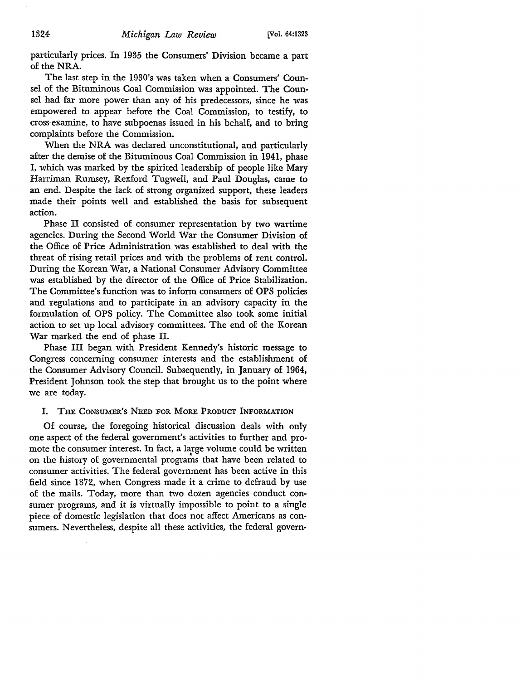particularly prices. In 1935 the Consumers' Division became a part of the NRA.

The last step in the 1930's was taken when a Consumers' Counsel of the Bituminous Coal Commission was appointed. The Counsel had far more power than any of his predecessors, since he was empowered to appear before the Coal Commission, to testify, to cross-examine, to have subpoenas issued in his behalf, and to bring complaints before the Commission.

When the NRA was declared unconstitutional, and particularly after the demise of the Bituminous Coal Commission in 1941, phase I, which was marked by the spirited leadership of people like Mary Harriman Rumsey, Rexford Tugwell, and Paul Douglas, came to an end. Despite the lack of strong organized support, these leaders made their points well and established the basis for subsequent action.

Phase II consisted of consumer representation by two wartime agencies. During the Second World War the Consumer Division of the Office of Price Administration was established to deal with the threat of rising retail prices and with the problems of rent control. During the Korean War, a National Consumer Advisory Committee was established by the director of the Office of Price Stabilization. The Committee's function was to inform consumers of OPS policies and regulations and to participate in an advisory capacity in the formulation of OPS policy. The Committee also took some initial action to set up local advisory committees. The end of the Korean War marked the end of phase II.

Phase III began with President Kennedy's historic message to Congress concerning consumer interests and the establishment of the Consumer Advisory Council. Subsequently, in January of 1964, President Johnson took the step that brought us to the point where we are today.

#### I. THE CONSUMER'S NEED FOR MORE PRODUCT INFORMATION

Of course, the foregoing historical discussion deals with only one aspect of the federal government's activities to further and promote the consumer interest. In fact, a large volume could be written mole the consumer interest. In fact, a farge volume could be written<br>on the history of governmental programs that have been related to consumer activities. The federal government has been active in this field since 1872, when Congress made it a crime to defraud by use of the mails. Today, more than two dozen agencies conduct consumer programs, and it is virtually impossible to point to a single piece of domestic legislation that does not affect Americans as consumers. Nevertheless, despite all these activities, the federal govern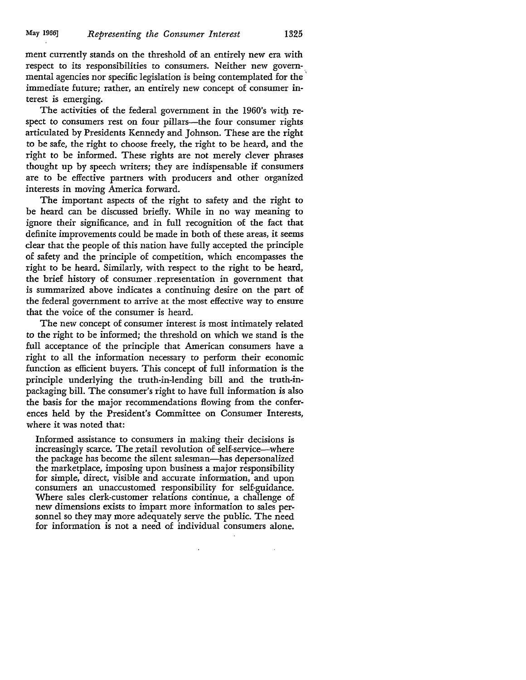ment currently stands on the threshold of an entirely new era with respect to its responsibilities to consumers. Neither new governmental agencies nor specific legislation is being contemplated for the ' immediate future; rather, an entirely new concept of consumer interest is emerging.

The activities of the federal government in the 1960's with respect to consumers rest on four pillars-the four consumer rights articulated by Presidents Kennedy and Johnson. These are the right to be safe, the right to choose freely, the right to be heard, and the right to be informed. These rights are not merely clever phrases thought up by speech writers; they are indispensable if consumers are to be effective partners with producers and other organized interests in moving America forward.

The important aspects of the right to safety and the right to be heard can be discussed briefly. While in no way meaning to ignore their significance, and in full recognition of the fact that definite improvements could be made in both of these areas, it seems clear that the people of this nation have fully accepted the principle of safety and the principle of competition, which encompasses the right to be heard. Similarly, with respect to the right to be heard, the brief history of consumer , representation in government that is summarized above indicates a continuing desire on the part of the federal government to arrive at the most effective way to ensure that the voice of the consumer is heard.

The new concept of consumer interest is most intimately related to the right to be informed; the threshold on which we stand is the full acceptance of the principle that American consumers have a right to all the information necessary to perform their economic function as efficient buyers. This concept of full information is the principle underlying the truth-in-lending bill and the truth-inpackaging bill. The consumer's right to have full information is also the basis for the major recommendations flowing from the conferences held by the President's Committee on Consumer Interests, where it was noted that:

Informed assistance to consumers in making their decisions is increasingly scarce. The retail revolution of self-service—where the package has become the silent salesman-has depersonalized the marketplace, imposing upon business a major responsibility for simple, direct, visible and accurate information, and upon consumers an unaccustomed responsibility for self-guidance. Where sales clerk-customer relations continue, a challenge of new dimensions exists to impart more information to sales personnel so they may more adequately serve the public. The need for information is not a need of individual consumers alone.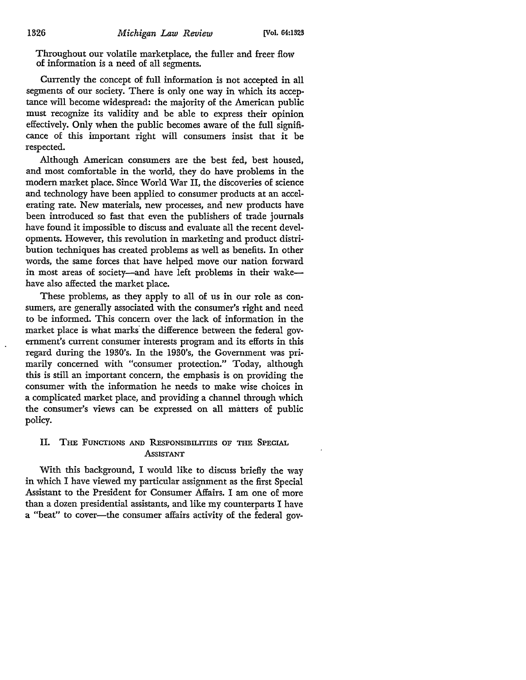Throughout our volatile marketplace, the fuller and freer flow of information is a need of all segments.

Currently the concept of full information is not accepted in all segments of our society. There is only one way in which its acceptance will become widespread: the majority of the American public must recognize its validity and be able to express their opinion effectively. Only when the public becomes aware of the full significance of this important right will consumers insist that it be respected.

Although American consumers are the best fed, best housed, and most comfortable in the world, they do have problems in the modem market place. Since World War II, the discoveries of science and technology have been applied to consumer products at an accelerating rate. New materials, new processes, and new products have been introduced so fast that even the publishers of trade journals have found it impossible to discuss and evaluate all the recent developments. However, this revolution in marketing and product distribution techniques has created problems as well as benefits. In other words, the same forces that have helped move our nation fonvard in most areas of society—and have left problems in their wake have also affected the market place.

These problems, as they apply to all of us in our role as consumers, are generally associated with the consumer's right and need to be informed. This concern over the lack of information in the market place is what marks the difference between the federal government's current consumer interests program and its efforts in this regard during the 1930's. In the 1930's, the Government was primarily concerned with "consumer protection." Today, although this is still an important concern, the emphasis is on providing the consumer with the information he needs to make wise choices in a complicated market place, and providing a channel through which the consumer's views can be expressed on all matters of public policy.

#### II. THE FUNCTIONS AND RESPONSIBILITIES OF THE SPECIAL AsSISTANT

With this background, I would like to discuss briefly the way in which I have viewed my particular assignment as the first Special Assistant to the President for Consumer Affairs. I am one of more than a dozen presidential assistants, and like my counterparts I have a "beat" to cover—the consumer affairs activity of the federal gov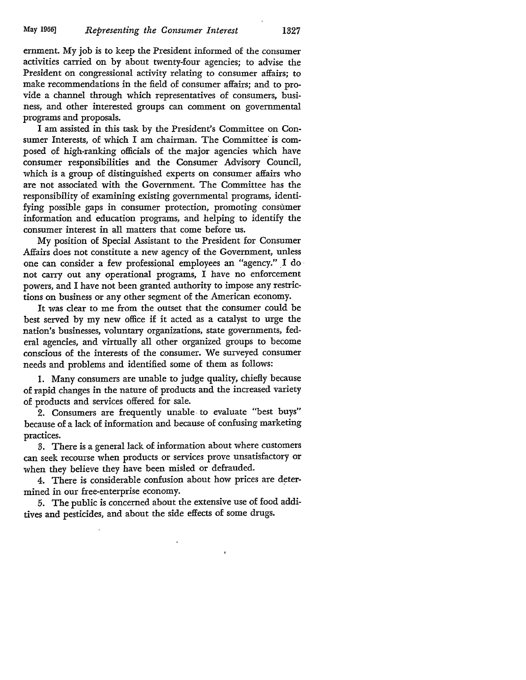ernment. My job is to keep the President informed of the consumer activities carried on by about twenty-four agencies; to advise the President on congressional activity relating to consumer affairs; to make recommendations in the field of consumer affairs; and to provide a channel through which representatives of consumers, business, and other interested groups can comment on governmental programs and proposals.

I am assisted in this task by the President's Committee on Consumer Interests, of which I am chairman. The Committee is composed of high-ranking officials of the major agencies which have consumer responsibilities and the Consumer Advisory Council, which is a group of distinguished experts on consumer affairs who are not associated with the Government. The Committee has the responsibility of examining existing governmental programs, identifying possible gaps in consumer protection, promoting consumer information and education programs, and helping to identify the consumer interest in all matters that come before us.

My position of Special Assistant to the President for Consumer Affairs does not constitute a new agency of the Government, unless one can consider a few professional employees an "agency." I do not carry out any operational programs, I have no enforcement powers, and I have not been granted authority to impose any restrictions on business or any other segment of the American economy.

It was clear to me from the outset that the consumer could be best served by my new office if it acted as a catalyst to urge the nation's businesses, voluntary organizations, state governments, federal agencies, and virtually all other organized groups to become conscious of the interests of the consumer. We surveyed consumer needs and problems and identified some of them as follows:

1. Many consumers are unable to judge quality, chiefly because of rapid changes in the nature of products and the increased variety of products and services offered for sale.

2. Consumers are frequently unable. to evaluate "best buys" because of a lack of information and because of confusing marketing practices.

3. There is a general lack of information about where customers can seek recourse when products or services prove unsatisfactory or when they believe they have been misled or defrauded.

4. There is considerable confusion about how prices are determined in our free-enterprise economy.

5. The public is concerned about the extensive use of food additives and pesticides, and about the side effects of some drugs.